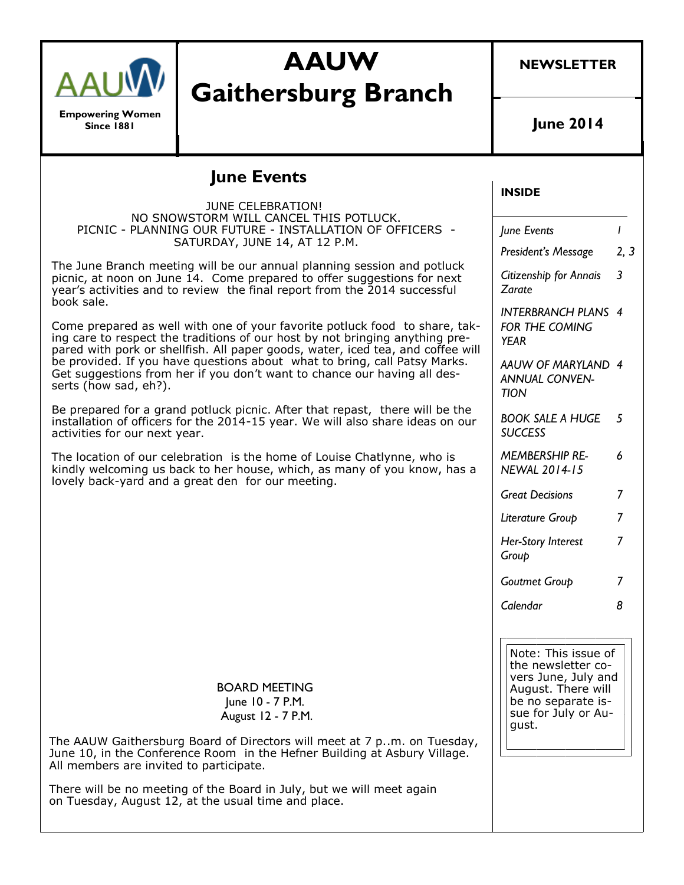

**Empowering Women Since 1881**

# **AAUW Gaithersburg Branch**

**NEWSLETTER**

**June 2014**

## **June Events**

#### **INSIDE** *June Events 1 President's Message 2, 3 Citizenship for Annais Zarate 3 INTERBRANCH PLANS 4 FOR THE COMING YEAR AAUW OF MARYLAND 4 ANNUAL CONVEN-TION BOOK SALE A HUGE 5 SUCCESS MEMBERSHIP RE-NEWAL 2014-15 6 Great Decisions 7 Literature Group 7 Her-Story Interest Group 7 Goutmet Group 7 Calendar 8* JUNE CELEBRATION! NO SNOWSTORM WILL CANCEL THIS POTLUCK. PICNIC - PLANNING OUR FUTURE - INSTALLATION OF OFFICERS - SATURDAY, JUNE 14, AT 12 P.M. The June Branch meeting will be our annual planning session and potluck picnic, at noon on June 14. Come prepared to offer suggestions for next year's activities and to review the final report from the 2014 successful book sale. Come prepared as well with one of your favorite potluck food to share, taking care to respect the traditions of our host by not bringing anything prepared with pork or shellfish. All paper goods, water, iced tea, and coffee will be provided. If you have questions about what to bring, call Patsy Marks. Get suggestions from her if you don't want to chance our having all desserts (how sad, eh?). Be prepared for a grand potluck picnic. After that repast, there will be the installation of officers for the 2014-15 year. We will also share ideas on our activities for our next year. The location of our celebration is the home of Louise Chatlynne, who is kindly welcoming us back to her house, which, as many of you know, has a lovely back-yard and a great den for our meeting. BOARD MEETING June 10 - 7 P.M. August 12 - 7 P.M. The AAUW Gaithersburg Board of Directors will meet at 7 p..m. on Tuesday, June 10, in the Conference Room in the Hefner Building at Asbury Village. All members are invited to participate. There will be no meeting of the Board in July, but we will meet again on Tuesday, August 12, at the usual time and place. Note: This issue of the newsletter covers June, July and August. There will be no separate issue for July or August.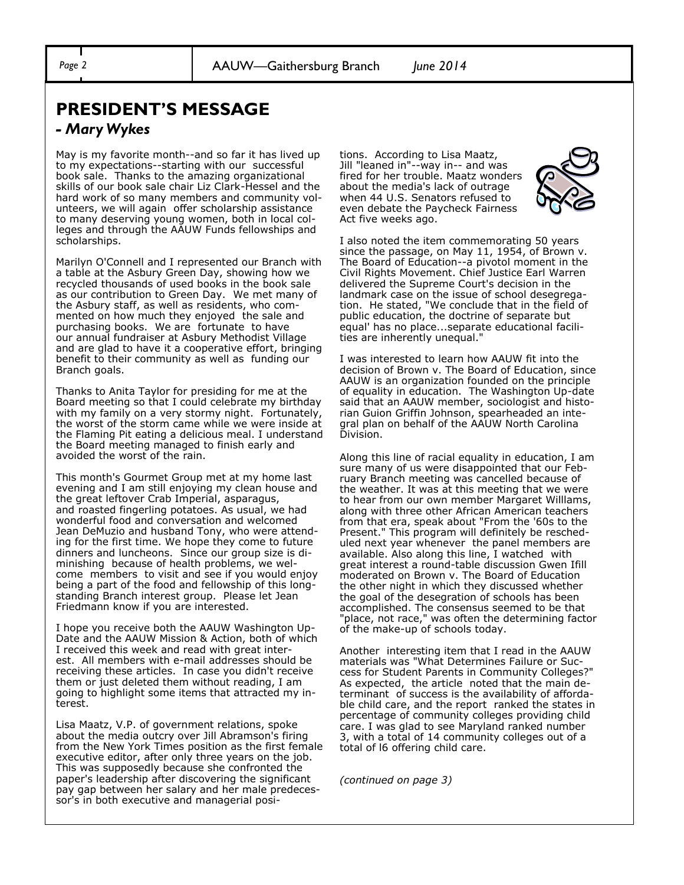## **PRESIDENT'S MESSAGE**

#### *- Mary Wykes*

May is my favorite month--and so far it has lived up to my expectations--starting with our successful book sale. Thanks to the amazing organizational skills of our book sale chair Liz Clark-Hessel and the hard work of so many members and community volunteers, we will again offer scholarship assistance to many deserving young women, both in local colleges and through the AAUW Funds fellowships and scholarships.

Marilyn O'Connell and I represented our Branch with a table at the Asbury Green Day, showing how we recycled thousands of used books in the book sale as our contribution to Green Day. We met many of the Asbury staff, as well as residents, who commented on how much they enjoyed the sale and purchasing books. We are fortunate to have our annual fundraiser at Asbury Methodist Village and are glad to have it a cooperative effort, bringing benefit to their community as well as funding our Branch goals.

Thanks to Anita Taylor for presiding for me at the Board meeting so that I could celebrate my birthday with my family on a very stormy night. Fortunately, the worst of the storm came while we were inside at the Flaming Pit eating a delicious meal. I understand the Board meeting managed to finish early and avoided the worst of the rain.

This month's Gourmet Group met at my home last evening and I am still enjoying my clean house and the great leftover Crab Imperial, asparagus, and roasted fingerling potatoes. As usual, we had wonderful food and conversation and welcomed Jean DeMuzio and husband Tony, who were attending for the first time. We hope they come to future dinners and luncheons. Since our group size is diminishing because of health problems, we welcome members to visit and see if you would enjoy being a part of the food and fellowship of this longstanding Branch interest group. Please let Jean Friedmann know if you are interested.

I hope you receive both the AAUW Washington Up-Date and the AAUW Mission & Action, both of which I received this week and read with great interest. All members with e-mail addresses should be receiving these articles. In case you didn't receive them or just deleted them without reading, I am going to highlight some items that attracted my interest.

Lisa Maatz, V.P. of government relations, spoke about the media outcry over Jill Abramson's firing from the New York Times position as the first female executive editor, after only three years on the job. This was supposedly because she confronted the paper's leadership after discovering the significant pay gap between her salary and her male predecessor's in both executive and managerial positions. According to Lisa Maatz, Jill "leaned in"--way in-- and was fired for her trouble. Maatz wonders about the media's lack of outrage when 44 U.S. Senators refused to even debate the Paycheck Fairness Act five weeks ago.



I also noted the item commemorating 50 years since the passage, on May 11, 1954, of Brown v. The Board of Education--a pivotol moment in the Civil Rights Movement. Chief Justice Earl Warren delivered the Supreme Court's decision in the landmark case on the issue of school desegregation. He stated, "We conclude that in the field of public education, the doctrine of separate but equal' has no place...separate educational facilities are inherently unequal."

I was interested to learn how AAUW fit into the decision of Brown v. The Board of Education, since AAUW is an organization founded on the principle of equality in education. The Washington Up-date said that an AAUW member, sociologist and historian Guion Griffin Johnson, spearheaded an integral plan on behalf of the AAUW North Carolina Division.

Along this line of racial equality in education, I am sure many of us were disappointed that our February Branch meeting was cancelled because of the weather. It was at this meeting that we were to hear from our own member Margaret Willlams, along with three other African American teachers from that era, speak about "From the '60s to the Present." This program will definitely be rescheduled next year whenever the panel members are available. Also along this line, I watched with great interest a round-table discussion Gwen Ifill moderated on Brown v. The Board of Education the other night in which they discussed whether the goal of the desegration of schools has been accomplished. The consensus seemed to be that "place, not race," was often the determining factor of the make-up of schools today.

Another interesting item that I read in the AAUW materials was "What Determines Failure or Success for Student Parents in Community Colleges?" As expected, the article noted that the main determinant of success is the availability of affordable child care, and the report ranked the states in percentage of community colleges providing child care. I was glad to see Maryland ranked number 3, with a total of 14 community colleges out of a total of l6 offering child care.

*(continued on page 3)*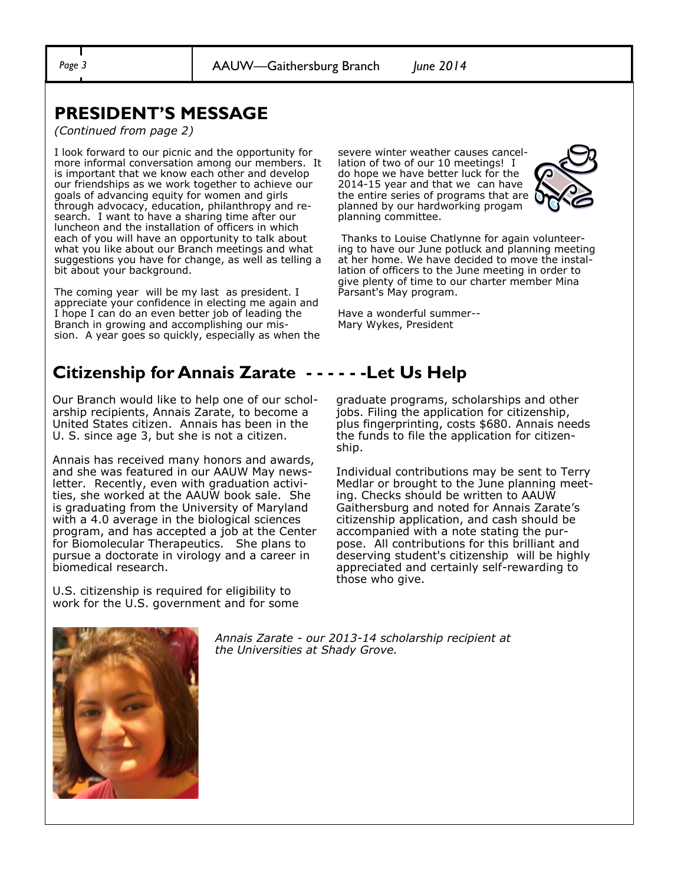*Page 3* AAUW—Gaithersburg Branch *June 2014*

## **PRESIDENT'S MESSAGE**

*(Continued from page 2)*

I look forward to our picnic and the opportunity for more informal conversation among our members. It is important that we know each other and develop our friendships as we work together to achieve our goals of advancing equity for women and girls through advocacy, education, philanthropy and research. I want to have a sharing time after our luncheon and the installation of officers in which each of you will have an opportunity to talk about what you like about our Branch meetings and what suggestions you have for change, as well as telling a bit about your background.

The coming year will be my last as president. I appreciate your confidence in electing me again and I hope I can do an even better job of leading the Branch in growing and accomplishing our mission. A year goes so quickly, especially as when the

severe winter weather causes cancellation of two of our 10 meetings! I do hope we have better luck for the 2014-15 year and that we can have the entire series of programs that are planned by our hardworking progam planning committee.



Thanks to Louise Chatlynne for again volunteering to have our June potluck and planning meeting at her home. We have decided to move the installation of officers to the June meeting in order to give plenty of time to our charter member Mina Parsant's May program.

Have a wonderful summer-- Mary Wykes, President

## **Citizenship for Annais Zarate - - - - - -Let Us Help**

Our Branch would like to help one of our scholarship recipients, Annais Zarate, to become a United States citizen. Annais has been in the U. S. since age 3, but she is not a citizen.

Annais has received many honors and awards, and she was featured in our AAUW May newsletter. Recently, even with graduation activities, she worked at the AAUW book sale. She is graduating from the University of Maryland with a 4.0 average in the biological sciences program, and has accepted a job at the Center for Biomolecular Therapeutics. She plans to pursue a doctorate in virology and a career in biomedical research.

U.S. citizenship is required for eligibility to work for the U.S. government and for some graduate programs, scholarships and other jobs. Filing the application for citizenship, plus fingerprinting, costs \$680. Annais needs the funds to file the application for citizenship.

Individual contributions may be sent to Terry Medlar or brought to the June planning meeting. Checks should be written to AAUW Gaithersburg and noted for Annais Zarate's citizenship application, and cash should be accompanied with a note stating the purpose. All contributions for this brilliant and deserving student's citizenship will be highly appreciated and certainly self-rewarding to those who give.



*Annais Zarate - our 2013-14 scholarship recipient at the Universities at Shady Grove.*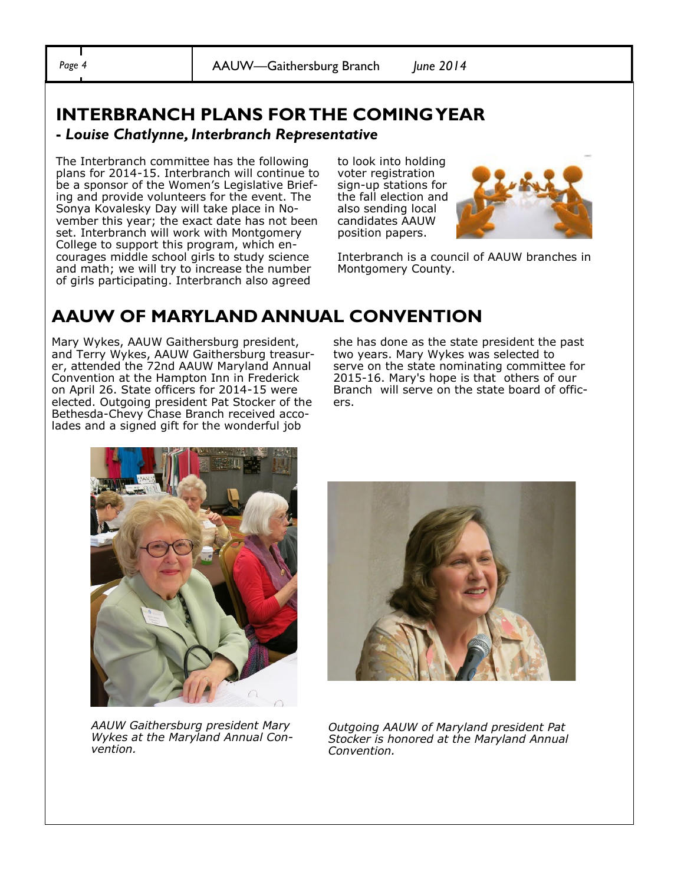*Page 4* AAUW—Gaithersburg Branch *June 2014*

## **INTERBRANCH PLANS FOR THE COMING YEAR**

#### **-** *Louise Chatlynne, Interbranch Representative*

The Interbranch committee has the following plans for 2014-15. Interbranch will continue to be a sponsor of the Women's Legislative Briefing and provide volunteers for the event. The Sonya Kovalesky Day will take place in November this year; the exact date has not been set. Interbranch will work with Montgomery College to support this program, which encourages middle school girls to study science and math; we will try to increase the number of girls participating. Interbranch also agreed

to look into holding voter registration sign-up stations for the fall election and also sending local candidates AAUW position papers.



Interbranch is a council of AAUW branches in Montgomery County.

## **AAUW OF MARYLAND ANNUAL CONVENTION**

Mary Wykes, AAUW Gaithersburg president, and Terry Wykes, AAUW Gaithersburg treasurer, attended the 72nd AAUW Maryland Annual Convention at the Hampton Inn in Frederick on April 26. State officers for 2014-15 were elected. Outgoing president Pat Stocker of the Bethesda-Chevy Chase Branch received accolades and a signed gift for the wonderful job

she has done as the state president the past two years. Mary Wykes was selected to serve on the state nominating committee for 2015-16. Mary's hope is that others of our Branch will serve on the state board of officers.



*AAUW Gaithersburg president Mary Wykes at the Maryland Annual Convention.* 



*Outgoing AAUW of Maryland president Pat Stocker is honored at the Maryland Annual Convention.*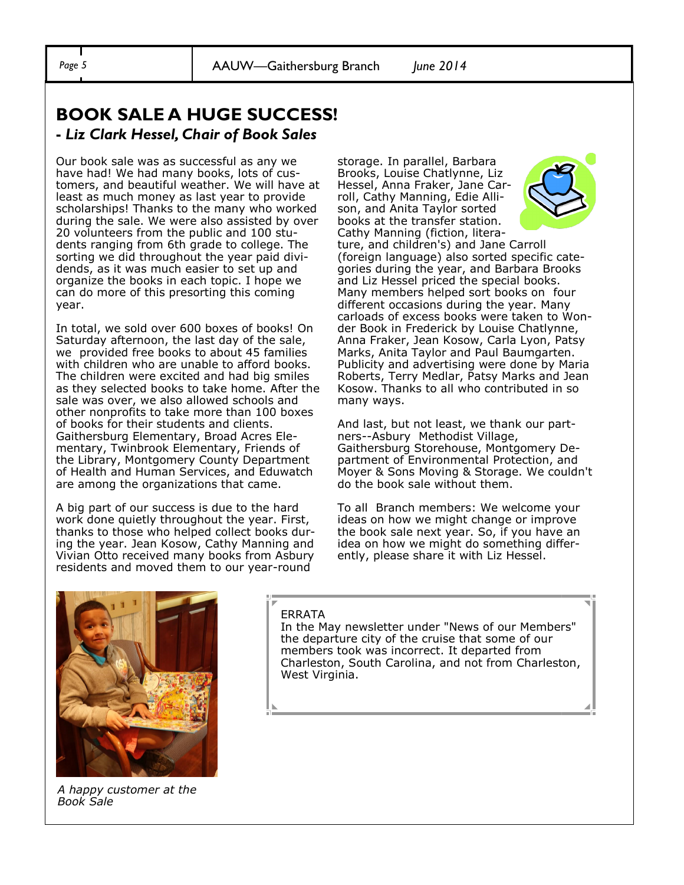## **BOOK SALE A HUGE SUCCESS! -** *Liz Clark Hessel, Chair of Book Sales*

Our book sale was as successful as any we have had! We had many books, lots of customers, and beautiful weather. We will have at least as much money as last year to provide scholarships! Thanks to the many who worked during the sale. We were also assisted by over 20 volunteers from the public and 100 students ranging from 6th grade to college. The sorting we did throughout the year paid dividends, as it was much easier to set up and organize the books in each topic. I hope we can do more of this presorting this coming year.

In total, we sold over 600 boxes of books! On Saturday afternoon, the last day of the sale, we provided free books to about 45 families with children who are unable to afford books. The children were excited and had big smiles as they selected books to take home. After the sale was over, we also allowed schools and other nonprofits to take more than 100 boxes of books for their students and clients. Gaithersburg Elementary, Broad Acres Elementary, Twinbrook Elementary, Friends of the Library, Montgomery County Department of Health and Human Services, and Eduwatch are among the organizations that came.

A big part of our success is due to the hard work done quietly throughout the year. First, thanks to those who helped collect books during the year. Jean Kosow, Cathy Manning and Vivian Otto received many books from Asbury residents and moved them to our year-round

storage. In parallel, Barbara Brooks, Louise Chatlynne, Liz Hessel, Anna Fraker, Jane Carroll, Cathy Manning, Edie Allison, and Anita Taylor sorted books at the transfer station. Cathy Manning (fiction, litera-



ture, and children's) and Jane Carroll (foreign language) also sorted specific categories during the year, and Barbara Brooks and Liz Hessel priced the special books. Many members helped sort books on four different occasions during the year. Many carloads of excess books were taken to Wonder Book in Frederick by Louise Chatlynne, Anna Fraker, Jean Kosow, Carla Lyon, Patsy Marks, Anita Taylor and Paul Baumgarten. Publicity and advertising were done by Maria Roberts, Terry Medlar, Patsy Marks and Jean Kosow. Thanks to all who contributed in so many ways.

And last, but not least, we thank our partners--Asbury Methodist Village, Gaithersburg Storehouse, Montgomery Department of Environmental Protection, and Moyer & Sons Moving & Storage. We couldn't do the book sale without them.

To all Branch members: We welcome your ideas on how we might change or improve the book sale next year. So, if you have an idea on how we might do something differently, please share it with Liz Hessel.



*A happy customer at the Book Sale* 

#### ERRATA

In the May newsletter under "News of our Members" the departure city of the cruise that some of our members took was incorrect. It departed from Charleston, South Carolina, and not from Charleston, West Virginia.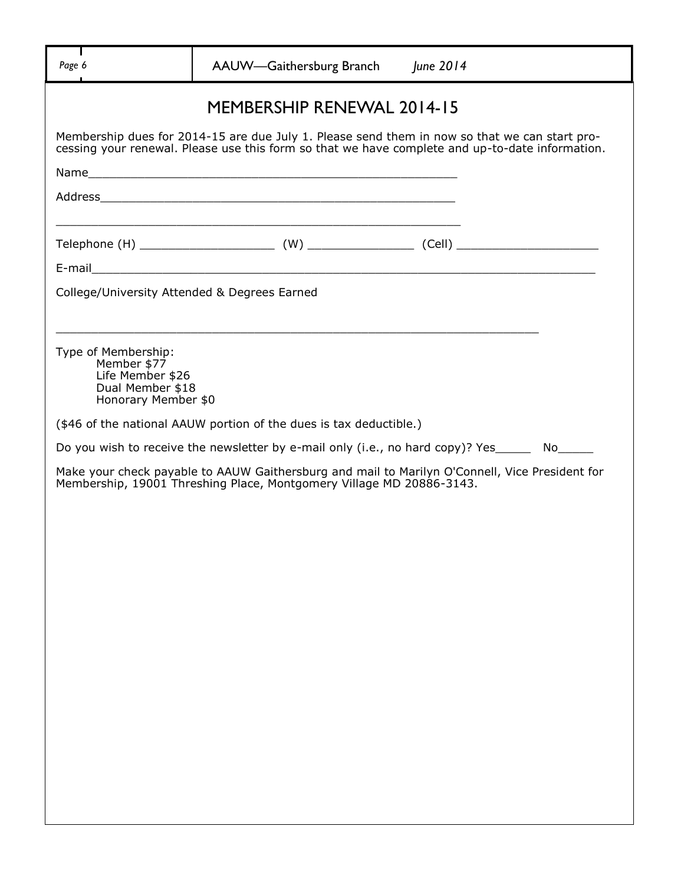|                                                             | <b>MEMBERSHIP RENEWAL 2014-15</b>                                                                                                                                                                |  |
|-------------------------------------------------------------|--------------------------------------------------------------------------------------------------------------------------------------------------------------------------------------------------|--|
|                                                             |                                                                                                                                                                                                  |  |
|                                                             | Membership dues for 2014-15 are due July 1. Please send them in now so that we can start pro-<br>cessing your renewal. Please use this form so that we have complete and up-to-date information. |  |
|                                                             |                                                                                                                                                                                                  |  |
|                                                             |                                                                                                                                                                                                  |  |
|                                                             |                                                                                                                                                                                                  |  |
|                                                             |                                                                                                                                                                                                  |  |
|                                                             |                                                                                                                                                                                                  |  |
| College/University Attended & Degrees Earned                |                                                                                                                                                                                                  |  |
|                                                             |                                                                                                                                                                                                  |  |
| Type of Membership:<br>Member \$77                          |                                                                                                                                                                                                  |  |
| Life Member \$26<br>Dual Member \$18<br>Honorary Member \$0 |                                                                                                                                                                                                  |  |
|                                                             | (\$46 of the national AAUW portion of the dues is tax deductible.)                                                                                                                               |  |
|                                                             | Do you wish to receive the newsletter by e-mail only (i.e., no hard copy)? Yes________ No______                                                                                                  |  |
|                                                             | Make your check payable to AAUW Gaithersburg and mail to Marilyn O'Connell, Vice President for                                                                                                   |  |
|                                                             | Membership, 19001 Threshing Place, Montgomery Village MD 20886-3143.                                                                                                                             |  |
|                                                             |                                                                                                                                                                                                  |  |
|                                                             |                                                                                                                                                                                                  |  |
|                                                             |                                                                                                                                                                                                  |  |
|                                                             |                                                                                                                                                                                                  |  |
|                                                             |                                                                                                                                                                                                  |  |
|                                                             |                                                                                                                                                                                                  |  |
|                                                             |                                                                                                                                                                                                  |  |
|                                                             |                                                                                                                                                                                                  |  |
|                                                             |                                                                                                                                                                                                  |  |
|                                                             |                                                                                                                                                                                                  |  |
|                                                             |                                                                                                                                                                                                  |  |
|                                                             |                                                                                                                                                                                                  |  |
|                                                             |                                                                                                                                                                                                  |  |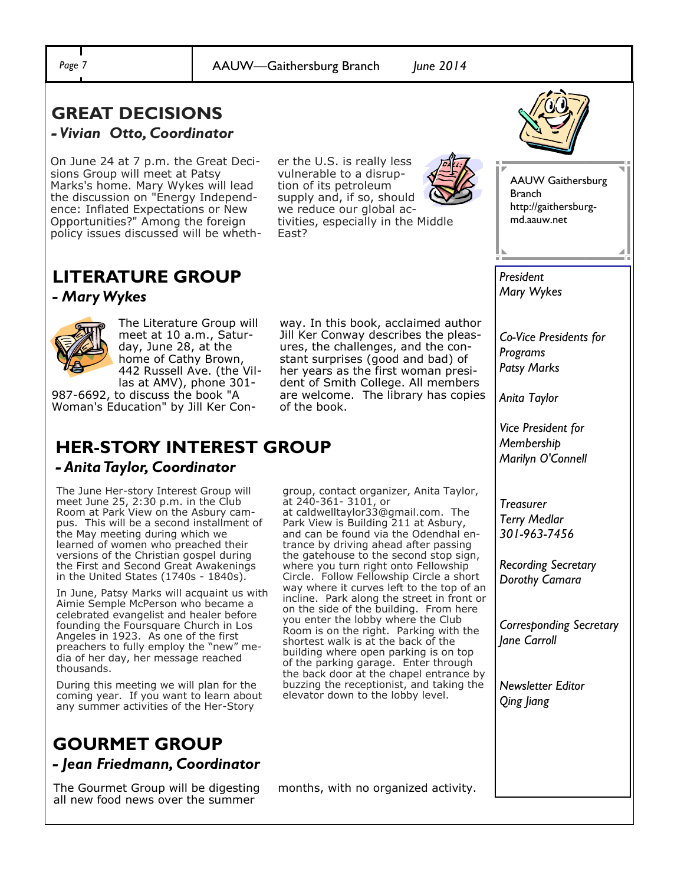*Page 7* AAUW—Gaithersburg Branch *June 2014*

#### **GREAT DECISIONS**  *- Vivian Otto, Coordinator*

On June 24 at 7 p.m. the Great Decisions Group will meet at Patsy Marks's home. Mary Wykes will lead the discussion on "Energy Independence: Inflated Expectations or New Opportunities?" Among the foreign policy issues discussed will be wheth-

er the U.S. is really less vulnerable to a disruption of its petroleum supply and, if so, should we reduce our global activities, especially in the Middle East?



AAUW Gaithersburg Branch http://gaithersburgmd.aauw.net

## **LITERATURE GROUP**

*- Mary Wykes* 



The Literature Group will meet at 10 a.m., Saturday, June 28, at the home of Cathy Brown, 442 Russell Ave. (the Villas at AMV), phone 301-

987-6692, to discuss the book "A Woman's Education" by Jill Ker Con-

## **HER-STORY INTEREST GROUP**  *- Anita Taylor, Coordinator*

The June Her-story Interest Group will meet June 25, 2:30 p.m. in the Club Room at Park View on the Asbury campus. This will be a second installment of the May meeting during which we learned of women who preached their versions of the Christian gospel during the First and Second Great Awakenings in the United States (1740s - 1840s).

In June, Patsy Marks will acquaint us with Aimie Semple McPerson who became a celebrated evangelist and healer before founding the Foursquare Church in Los Angeles in 1923. As one of the first preachers to fully employ the "new" media of her day, her message reached thousands.

During this meeting we will plan for the coming year. If you want to learn about any summer activities of the Her-Story

## **GOURMET GROUP** *- Jean Friedmann, Coordinator*

The Gourmet Group will be digesting all new food news over the summer

way. In this book, acclaimed author Jill Ker Conway describes the pleasures, the challenges, and the constant surprises (good and bad) of her years as the first woman president of Smith College. All members are welcome. The library has copies of the book.

group, contact organizer, Anita Taylor, at 240-361- 3101, or

at caldwelltaylor33@gmail.com. The Park View is Building 211 at Asbury, and can be found via the Odendhal entrance by driving ahead after passing the gatehouse to the second stop sign, where you turn right onto Fellowship Circle. Follow Fellowship Circle a short way where it curves left to the top of an incline. Park along the street in front or on the side of the building. From here you enter the lobby where the Club Room is on the right. Parking with the shortest walk is at the back of the building where open parking is on top of the parking garage. Enter through the back door at the chapel entrance by buzzing the receptionist, and taking the elevator down to the lobby level.

months, with no organized activity.

*Mary Wykes*

*President*

*Co-Vice Presidents for Programs Patsy Marks* 

*Anita Taylor*

*Vice President for Membership Marilyn O'Connell*

*Treasurer Terry Medlar 301-963-7456* 

*Recording Secretary Dorothy Camara*

*Corresponding Secretary Jane Carroll* 

*Newsletter Editor Qing Jiang*